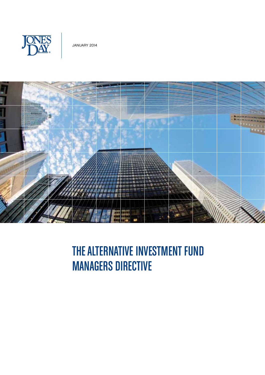



# THE ALTERNATIVE INVESTMENT FUND MANAGERS DIRECTIVE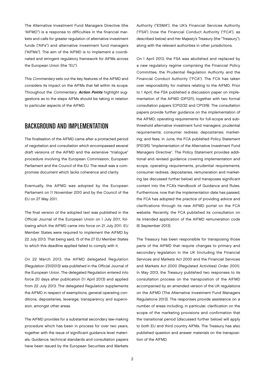The Alternative Investment Fund Managers Directive (the "AIFMD") is a response to difficulties in the financial markets and calls for greater regulation of alternative investment funds ("AIFs") and alternative investment fund managers ("AIFMs"). The aim of the AIFMD is to implement a coordinated and stringent regulatory framework for AIFMs across the European Union (the "EU").

This *Commentary* sets out the key features of the AIFMD and considers its impact on the AIFMs that fall within its scope. Throughout the Commentary, Action Points highlight suggestions as to the steps AIFMs should be taking in relation to particular aspects of the AIFMD.

#### BACKGROUND AND IMPLEMENTATION

The finalisation of the AIFMD came after a protracted period of negotiation and consultation which encompassed several draft versions of the AIFMD and the extensive "trialogue" procedure involving the European Commission, European Parliament and the Council of the EU. The result was a compromise document which lacks coherence and clarity.

Eventually, the AIFMD was adopted by the European Parliament on 11 November 2010 and by the Council of the EU on 27 May 2011.

The final version of the adopted text was published in the Official Journal of the European Union on 1 July 2011, following which the AIFMD came into force on 21 July 2011. EU Member States were required to implement the AIFMD by 22 July 2013. That being said, 15 of the 27 EU Member States to which this deadline applied failed to comply with it.

On 22 March 2013, the AIFMD delegated Regulation (Regulation 231/2013) was published in the Official Journal of the European Union. The delegated Regulation entered into force 20 days after publication (11 April 2013) and applied from 22 July 2013. The delegated Regulation supplements the AIFMD in respect of exemptions, general operating conditions, depositaries, leverage, transparency and supervision, amongst other areas.

The AIFMD provides for a substantial secondary law-making procedure which has been in process for over two years, together with the issue of significant guidance level materials. Guidance, technical standards and consultation papers have been issued by the European Securities and Markets

Authority ("ESMA"), the UK's Financial Services Authority ("FSA") (now the Financial Conduct Authority ("FCA"), as described below) and Her Majesty's Treasury (the "Treasury"), along with the relevant authorities in other jurisdictions.

On 1 April 2013, the FSA was abolished and replaced by a new regulatory regime comprising the Financial Policy Committee, the Prudential Regulation Authority and the Financial Conduct Authority ("FCA"). The FCA has taken over responsibility for matters relating to the AIFMD. Prior to 1 April, the FSA published a discussion paper on implementation of the AIFMD (DP12/1), together with two formal consultation papers (CP12/32 and CP13/9). The consultation papers provide further guidance on the implementation of the AIFMD; operating requirements for full-scope and subthreshold alternative investment fund managers; prudential requirements; consumer redress; depositaries; marketing; and fees. In June, the FCA published Policy Statement (PS13/5) "Implementation of the Alternative Investment Fund Managers Directive". The Policy Statement provides additional and revised guidance covering implementation and scope, operating requirements, prudential requirements, consumer redress, depositaries, remuneration and marketing (as discussed further below) and transposes significant content into the FCA's Handbook of Guidance and Rules. Furthermore, now that the implementation date has passed, the FCA has adopted the practice of providing advice and clarifications through its new AIFMD portal on the FCA website. Recently, the FCA published its consultation on its intended application of the AIFMD remuneration code (6 September 2013).

The Treasury has been responsible for transposing those parts of the AIFMD that require changes to primary and secondary legislation in the UK (including the Financial Services and Markets Act 2000 and the Financial Services and Markets Act 2000 (Regulated Activities) Order 2001). In May 2013, the Treasury published two responses to its consultation process on the transposition of the AIFMD accompanied by an amended version of the UK regulations on the AIFMD (The Alternative Investment Fund Managers Regulations 2013). The responses provide assistance on a number of areas including, in particular, clarification on the scope of the marketing provisions and confirmation that the transitional period (discussed further below) will apply to both EU and third country AIFMs. The Treasury has also published question and answer materials on the transposition of the AIFMD.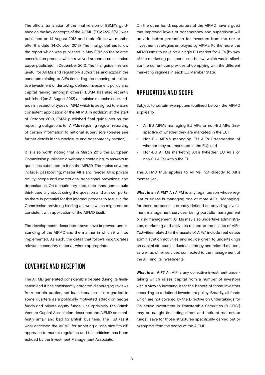The official translation of the final version of ESMA's guidance on the key concepts of the AIFMD (ESMA/2013/611) was published on 14 August 2013 and took effect two months after this date (14 October 2013). The final guidelines follow the report which was published in May 2013 on the related consultation process which revolved around a consultation paper published in December 2012. The final guidelines are useful for AIFMs and regulatory authorities and explain the concepts relating to AIFs (including the meaning of collective investment undertaking, defined investment policy and capital raising, amongst others). ESMA has also recently published (on 21 August 2013) an opinion on technical standards in respect of types of AIFM which is designed to ensure consistent application of the AIFMD. In addition, at the start of October 2013, ESMA published final guidelines on the reporting obligations for AIFMs requiring regular reporting of certain information to national supervisors (please see further details in the disclosure and transparency section).

It is also worth noting that in March 2013 the European Commission published a webpage containing its answers to questions submitted to it on the AIFMD. The topics covered include: passporting; master AIFs and feeder AIFs; private equity; scope and exemptions; transitional provisions; and depositaries. On a cautionary note, fund managers should think carefully about using the question and answer portal as there is potential for this informal process to result in the Commission providing binding answers which might not be consistent with application of the AIFMD itself.

The developments described above have improved understanding of the AIFMD and the manner in which it will be implemented. As such, the detail that follows incorporates relevant secondary material, where appropriate.

## COVERAGE AND RECEPTION

The AIFMD generated considerable debate during its finalisation and it has consistently attracted disparaging reviews from certain parties, not least because it is regarded in some quarters as a politically motivated attack on hedge funds and private equity funds. Unsurprisingly, the British Venture Capital Association described the AIFMD as manifestly unfair and bad for British business. The FSA (as it was) criticised the AIFMD for adopting a "one size fits all" approach to market regulation and this criticism has been echoed by the Investment Management Association.

On the other hand, supporters of the AIFMD have argued that improved levels of transparency and supervision will provide better protection for investors from the riskier investment strategies employed by AIFMs. Furthermore, the AIFMD aims to develop a single EU market for AIFs (by way of the marketing passport—see below) which would alleviate the current complexities of complying with the different marketing regimes in each EU Member State.

## APPLICATION AND SCOPE

Subject to certain exemptions (outlined below), the AIFMD applies to:

- All EU AIFMs managing EU AIFs or non-EU AIFs (irrespective of whether they are marketed in the EU);
- Non-EU AIFMs managing EU AIFs (irrespective of whether they are marketed in the EU); and
- Non-EU AIFMs marketing AIFs (whether EU AIFs or non-EU AIFs) within the EU.

The AIFMD thus applies to AIFMs, not directly to AIFs themselves.

What is an AIFM? An AIFM is any legal person whose regular business is managing one or more AIFs. "Managing" for these purposes is broadly defined as providing investment management services, being portfolio management or risk management. AIFMs may also undertake administration, marketing and activities related to the assets of AIFs. "Activities related to the assets of AIFs" include real estate administration activities and advice given to undertakings on capital structure, industrial strategy and related matters, as well as other services connected to the management of the AIF and its investments.

What is an AIF? An AIF is any collective investment undertaking which raises capital from a number of investors with a view to investing it for the benefit of those investors according to a defined investment policy. Broadly, all funds which are not covered by the Directive on Undertakings for Collective Investment in Transferable Securities ("UCITS") may be caught (including direct and indirect real estate funds), save for those structures specifically carved out or exempted from the scope of the AIFMD.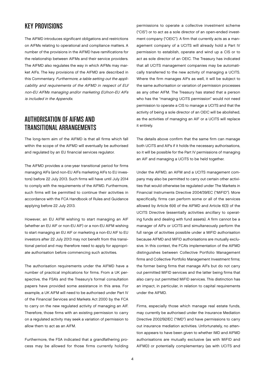## KEY PROVISIONS

The AIFMD introduces significant obligations and restrictions on AIFMs relating to operational and compliance matters. A number of the provisions in the AIFMD have ramifications for the relationship between AIFMs and their service providers. The AIFMD also regulates the way in which AIFMs may market AIFs. The key provisions of the AIFMD are described in this Commentary. Furthermore, a table setting out the applicability and requirements of the AIFMD in respect of EU/ non-EU AIFMs managing and/or marketing EU/non-EU AIFs is included in the Appendix.

# AUTHORISATION OF AIFMS AND TRANSITIONAL ARRANGEMENTS

The long-term aim of the AIFMD is that all firms which fall within the scope of the AIFMD will eventually be authorised and regulated by an EU financial services regulator.

The AIFMD provides a one-year transitional period for firms managing AIFs (and non-EU AIFs marketing AIFs to EU investors) before 22 July 2013. Such firms will have until July 2014 to comply with the requirements of the AIFMD. Furthermore, such firms will be permitted to continue their activities in accordance with the FCA Handbook of Rules and Guidance applying before 22 July 2013.

However, an EU AIFM wishing to start managing an AIF (whether an EU AIF or non-EU AIF) or a non-EU AIFM wishing to start managing an EU AIF or marketing a non-EU AIF to EU investors after 22 July 2013 may not benefit from this transitional period and may therefore need to apply for appropriate authorisation before commencing such activities.

The authorisation requirements under the AIFMD have a number of practical implications for firms. From a UK perspective, the FSA's and the Treasury's formal consultation papers have provided some assistance in this area. For example, a UK AIFM will need to be authorised under Part IV of the Financial Services and Markets Act 2000 by the FCA to carry on the new regulated activity of managing an AIF. Therefore, those firms with an existing permission to carry on a regulated activity may seek a variation of permission to allow them to act as an AIFM.

Furthermore, the FSA indicated that a grandfathering process may be allowed for those firms currently holding

permissions to operate a collective investment scheme ("CIS") or to act as a sole director of an open-ended investment company ("OEIC"). A firm that currently acts as a management company of a UCITS will already hold a Part IV permission to establish, operate and wind up a CIS or to act as sole director of an OEIC. The Treasury has indicated that all UCITS management companies may be automatically transferred to the new activity of managing a UCITS. Where the firm manages AIFs as well, it will be subject to the same authorisation or variation of permission processes as any other AIFM. The Treasury has stated that a person who has the "managing UCITS permission" would not need permission to operate a CIS to manage a UCITS and that the activity of being a sole director of an OEIC will be abolished, as the activities of managing an AIF or a UCITS will replace it entirely.

The details above confirm that the same firm can manage both UCITS and AIFs if it holds the necessary authorisations, so it will be possible for the Part IV permissions of managing an AIF and managing a UCITS to be held together.

Under the AIFMD, an AIFM and a UCITS management company may also be permitted to carry out certain other activities that would otherwise be regulated under The Markets in Financial Instruments Directive 2004/39/EC ("MiFID"). More specifically, firms can perform some or all of the services allowed by Article 6(4) of the AIFMD and Article 6(3) of the UCITS Directive (essentially activities ancillary to operating funds and dealing with fund assets). A firm cannot be a manager of AIFs or UCITS and simultaneously perform the full range of activities possible under a MiFID authorisation because AIFMD and MiFID authorisations are mutually exclusive. In this context, the FCA's implementation of the AIFMD distinguishes between Collective Portfolio Management firms and Collective Portfolio Management Investment firms; the former being firms that manage AIFs but do not carry out permitted MiFID services and the latter being firms that also carry out permitted MiFID services. This distinction has an impact, in particular, in relation to capital requirements under the AIFMD.

Firms, especially those which manage real estate funds, may currently be authorised under the Insurance Mediation Directive 2002/92/EC ("IMD") and have permissions to carry out insurance mediation activities. Unfortunately, no attention appears to have been given to whether IMD and AIFMD authorisations are mutually exclusive (as with MiFID and AIFMD) or potentially complementary (as with UCITS and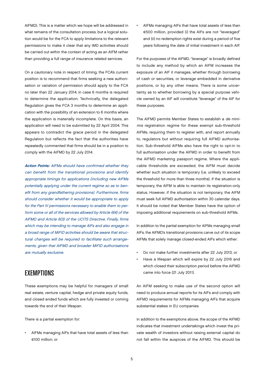AIFMD). This is a matter which we hope will be addressed in what remains of the consultation process, but a logical solution would be for the FCA to apply limitations to the relevant permissions to make it clear that any IMD activities should be carried out within the context of acting as an AIFM rather than providing a full range of insurance related services.

On a cautionary note in respect of timing, the FCA's current position is to recommend that firms seeking a new authorisation or variation of permission should apply to the FCA no later than 22 January 2014, in case 6 months is required to determine the application. Technically, the delegated Regulation gives the FCA 3 months to determine an application with the possibility of an extension to 6 months where the application is materially incomplete. On this basis, an application will need to be submitted by 22 April 2004. This appears to contradict the grace period in the delegated Regulation but reflects the fact that the authorities have repeatedly commented that firms should be in a position to comply with the AIFMD by 22 July 2014.

Action Points: AIFMs should have confirmed whether they can benefit from the transitional provisions and identify appropriate timings for applications (including new AIFMs potentially applying under the current regime so as to benefit from any grandfathering provisions). Furthermore, firms should consider whether it would be appropriate to apply for the Part IV permissions necessary to enable them to perform some or all of the services allowed by Article 6(4) of the AIFMD and Article 6(3) of the UCITS Directive. Finally, firms which may be intending to manage AIFs and also engage in a broad range of MiFID activities should be aware that structural changes will be required to facilitate such arrangements, given that AIFMD and broader MiFID authorisations are mutually exclusive.

#### EXEMPTIONS

These exemptions may be helpful for managers of small real estate, venture capital, hedge and private equity funds, and closed ended funds which are fully invested or coming towards the end of their lifespan.

There is a partial exemption for:

• AIFMs managing AIFs that have total assets of less than €100 million; or

• AIFMs managing AIFs that have total assets of less than €500 million, provided (i) the AIFs are not "leveraged" and (ii) no redemption rights exist during a period of five years following the date of initial investment in each AIF.

For the purposes of the AIFMD, "leverage" is broadly defined to include any method by which an AIFM increases the exposure of an AIF it manages, whether through borrowing of cash or securities, or leverage embedded in derivative positions, or by any other means. There is some uncertainty as to whether borrowing by a special purpose vehicle owned by an AIF will constitute "leverage" of the AIF for these purposes.

The AIFMD permits Member States to establish a de minimis registration regime for these exempt sub-threshold AIFMs, requiring them to register with, and report annually to, regulators but without requiring full AIFMD authorisation. Sub-threshold AIFMs also have the right to opt-in to full authorisation under the AIFMD in order to benefit from the AIFMD marketing passport regime. Where the applicable thresholds are exceeded, the AIFM must decide whether such situation is temporary (i.e. unlikely to exceed the threshold for more than three months). If the situation is temporary, the AIFM is able to maintain its registration-only status. However, if the situation is not temporary, the AIFM must seek full AIFMD authorisation within 30 calendar days. It should be noted that Member States have the option of imposing additional requirements on sub-threshold AIFMs.

In addition to the partial exemption for AIFMs managing small AIFs, the AIFMD's transitional provisions carve out of its scope AIFMs that solely manage closed-ended AIFs which either:

- Do not make further investments after 22 July 2013; or
- Have a lifespan which will expire by 22 July 2016 and which closed their subscription period before the AIFMD came into force (21 July 2011).

An AIFM seeking to make use of the second option will need to produce annual reports for its AIFs and comply with AIFMD requirements for AIFMs managing AIFs that acquire substantial stakes in EU companies.

In addition to the exemptions above, the scope of the AIFMD indicates that investment undertakings which invest the private wealth of investors without raising external capital do not fall within the auspices of the AIFMD. This should be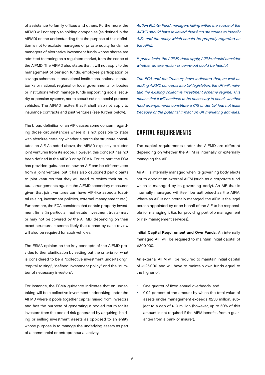of assistance to family offices and others. Furthermore, the AIFMD will not apply to holding companies (as defined in the AIFMD) on the understanding that the purpose of this definition is not to exclude managers of private equity funds, nor managers of alternative investment funds whose shares are admitted to trading on a regulated market, from the scope of the AIFMD. The AIFMD also states that it will not apply to the management of pension funds, employee participation or savings schemes, supranational institutions, national central banks or national, regional or local governments, or bodies or institutions which manage funds supporting social security or pension systems, nor to securitisation special purpose vehicles. The AIFMD recites that it shall also not apply to insurance contracts and joint ventures (see further below).

The broad definition of an AIF causes some concern regarding those circumstances where it is not possible to state with absolute certainty whether a particular structure constitutes an AIF. As noted above, the AIFMD explicitly excludes joint ventures from its scope. However, this concept has not been defined in the AIFMD or by ESMA. For its part, the FCA has provided guidance on how an AIF can be differentiated from a joint venture, but it has also cautioned participants to joint ventures that they will need to review their structural arrangements against the AIFMD secondary measures given that joint ventures can have AIF-like aspects (capital raising, investment policies, external management etc.). Furthermore, the FCA considers that certain property investment firms (in particular, real estate investment trusts) may or may not be covered by the AIFMD, depending on their exact structure. It seems likely that a case-by-case review will also be required for such vehicles.

The ESMA opinion on the key concepts of the AIFMD provides further clarification by setting out the criteria for what is considered to be a "collective investment undertaking", "capital raising", "defined investment policy" and the "number of necessary investors".

For instance, the ESMA guidance indicates that an undertaking will be a collective investment undertaking under the AIFMD where it pools together capital raised from investors and has the purpose of generating a pooled return for its investors from the pooled risk generated by acquiring, holding or selling investment assets as opposed to an entity whose purpose is to manage the underlying assets as part of a commercial or entrepreneurial activity.

Action Points: Fund managers falling within the scope of the AIFMD should have reviewed their fund structures to identify AIFs and the entity which should be properly regarded as the AIFM.

If, prima facie, the AIFMD does apply, AIFMs should consider whether an exemption or carve-out could be helpful.

The FCA and the Treasury have indicated that, as well as adding AIFMD concepts into UK legislation, the UK will maintain the existing collective investment scheme regime. This means that it will continue to be necessary to check whether fund arrangements constitute a CIS under UK law, not least because of the potential impact on UK marketing activities.

## CAPITAL REQUIREMENTS

The capital requirements under the AIFMD are different depending on whether the AIFM is internally or externally managing the AIF.

An AIF is internally managed when its governing body elects not to appoint an external AIFM (such as a corporate fund which is managed by its governing body). An AIF that is internally managed will itself be authorised as the AIFM. Where an AIF is not internally managed, the AIFM is the legal person appointed by or on behalf of the AIF to be responsible for managing it (i.e. for providing portfolio management or risk management services).

Initial Capital Requirement and Own Funds. An internally managed AIF will be required to maintain initial capital of €300,000.

An external AIFM will be required to maintain initial capital of €125,000 and will have to maintain own funds equal to the higher of:

- One quarter of fixed annual overheads; and
- 0.02 percent of the amount by which the total value of assets under management exceeds €250 million, subject to a cap of €10 million (however, up to 50% of this amount is not required if the AIFM benefits from a guarantee from a bank or insurer).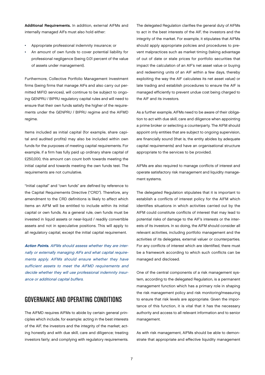Additional Requirements. In addition, external AIFMs and internally managed AIFs must also hold either:

- Appropriate professional indemnity insurance; or
- An amount of own funds to cover potential liability for professional negligence (being 0.01 percent of the value of assets under management).

Furthermore, Collective Portfolio Management Investment firms (being firms that manage AIFs and also carry out permitted MiFID services), will continue to be subject to ongoing GENPRU / BIPRU regulatory capital rules and will need to ensure that their own funds satisfy the higher of the requirements under the GENPRU / BIPRU regime and the AIFMD regime.

Items included as initial capital (for example, share capital and audited profits) may also be included within own funds for the purposes of meeting capital requirements. For example, if a firm has fully paid up ordinary share capital of £250,000, this amount can count both towards meeting the initial capital and towards meeting the own funds test. The requirements are not cumulative.

"Initial capital" and "own funds" are defined by reference to the Capital Requirements Directive ("CRD"). Therefore, any amendment to the CRD definitions is likely to affect which items an AIFM will be entitled to include within its initial capital or own funds. As a general rule, own funds must be invested in liquid assets or near-liquid / readily convertible assets and not in speculative positions. This will apply to all regulatory capital, except the initial capital requirement.

Action Points. AIFMs should assess whether they are internally or externally managing AIFs and what capital requirements apply. AIFMs should ensure whether they have sufficient assets to meet the AIFMD requirements and decide whether they will use professional indemnity insurance or additional capital buffers.

#### GOVERNANCE AND OPERATING CONDITIONS

The AIFMD requires AIFMs to abide by certain general principles which include, for example: acting in the best interests of the AIF, the investors and the integrity of the market; acting honestly and with due skill, care and diligence; treating investors fairly; and complying with regulatory requirements.

The delegated Regulation clarifies the general duty of AIFMs to act in the best interests of the AIF, the investors and the integrity of the market. For example, it stipulates that AIFMs should apply appropriate policies and procedures to prevent malpractices such as market timing (taking advantage of out of date or stale prices for portfolio securities that impact the calculation of an AIF's net asset value or buying and redeeming units of an AIF within a few days, thereby exploiting the way the AIF calculates its net asset value) or late trading and establish procedures to ensure the AIF is managed efficiently to prevent undue cost being charged to the AIF and its investors.

As a further example, AIFMs need to be aware of their obligation to act with due skill, care and diligence when appointing a prime broker or selecting a counterparty. The AIFM should appoint only entities that are subject to ongoing supervision, are financially sound (that is, the entity abides by adequate capital requirements) and have an organisational structure appropriate to the services to be provided.

AIFMs are also required to manage conflicts of interest and operate satisfactory risk management and liquidity management systems.

The delegated Regulation stipulates that it is important to establish a conflicts of interest policy for the AIFM which identifies situations in which activities carried out by the AIFM could constitute conflicts of interest that may lead to potential risks of damage to the AIF's interests or the interests of its investors. In so doing, the AIFM should consider all relevant activities, including portfolio management and the activities of its delegates, external valuer or counterparties. For any conflicts of interest which are identified, there must be a framework according to which such conflicts can be managed and disclosed.

One of the central components of a risk management system, according to the delegated Regulation, is a permanent management function which has a primary role in shaping the risk management policy and risk monitoring/measuring to ensure that risk levels are appropriate. Given the importance of this function, it is vital that it has the necessary authority and access to all relevant information and to senior management.

As with risk management, AIFMs should be able to demonstrate that appropriate and effective liquidity management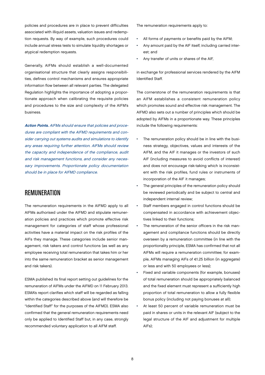policies and procedures are in place to prevent difficulties associated with illiquid assets, valuation issues and redemption requests. By way of example, such procedures could include annual stress tests to simulate liquidity shortages or atypical redemption requests.

Generally, AIFMs should establish a well-documented organisational structure that clearly assigns responsibilities, defines control mechanisms and ensures appropriate information flow between all relevant parties. The delegated Regulation highlights the importance of adopting a proportionate approach when calibrating the requisite policies and procedures to the size and complexity of the AIFM's business.

Action Points. AIFMs should ensure that policies and procedures are compliant with the AIFMD requirements and consider carrying out systems audits and simulations to identify any areas requiring further attention. AIFMs should review the capacity and independence of the compliance, audit and risk management functions, and consider any necessary improvements. Proportionate policy documentation should be in place for AIFMD compliance.

#### **REMUNERATION**

The remuneration requirements in the AIFMD apply to all AIFMs authorised under the AIFMD and stipulate remuneration policies and practices which promote effective risk management for categories of staff whose professional activities have a material impact on the risk profiles of the AIFs they manage. These categories include senior management, risk takers and control functions (as well as any employee receiving total remuneration that takes him or her into the same remuneration bracket as senior management and risk takers).

ESMA published its final report setting out guidelines for the remuneration of AIFMs under the AIFMD on 11 February 2013. ESMA's report clarifies which staff will be regarded as falling within the categories described above (and will therefore be "Identified Staff" for the purposes of the AIFMD). ESMA also confirmed that the general remuneration requirements need only be applied to Identified Staff but, in any case, strongly recommended voluntary application to all AIFM staff.

The remuneration requirements apply to:

- All forms of payments or benefits paid by the AIFM;
- Any amount paid by the AIF itself, including carried interest; and
- Any transfer of units or shares of the AIF,

in exchange for professional services rendered by the AIFM Identified Staff.

The cornerstone of the remuneration requirements is that an AIFM establishes a consistent remuneration policy which promotes sound and effective risk management. The AIFMD also sets out a number of principles which should be adopted by AIFMs in a proportionate way. These principles include the following requirements:

- The remuneration policy should be in line with the business strategy, objectives, values and interests of the AIFM, and the AIF it manages or the investors of such AIF (including measures to avoid conflicts of interest) and does not encourage risk-taking which is inconsistent with the risk profiles, fund rules or instruments of incorporation of the AIF it manages;
- The general principles of the remuneration policy should be reviewed periodically and be subject to central and independent internal review;
- Staff members engaged in control functions should be compensated in accordance with achievement objectives linked to their functions;
- The remuneration of the senior officers in the risk management and compliance functions should be directly overseen by a remuneration committee (in line with the proportionality principle, ESMA has confirmed that not all AIFMs will require a remuneration committee; for example, AIFMs managing AIFs of €1.25 billion (in aggregate) or less and with 50 employees or less);
- Fixed and variable components (for example, bonuses) of total remuneration should be appropriately balanced and the fixed element must represent a sufficiently high proportion of total remuneration to allow a fully flexible bonus policy (including not paying bonuses at all);
- At least 50 percent of variable remuneration must be paid in shares or units in the relevant AIF (subject to the legal structure of the AIF and adjustment for multiple AIFs);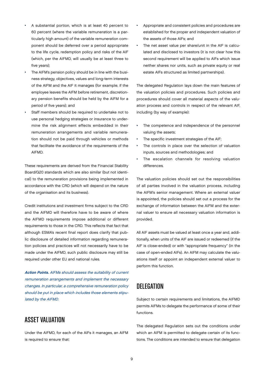- A substantial portion, which is at least 40 percent to 60 percent (where the variable remuneration is a particularly high amount) of the variable remuneration component should be deferred over a period appropriate to the life cycle, redemption policy and risks of the AIF (which, per the AIFMD, will usually be at least three to five years);
- The AIFM's pension policy should be in line with the business strategy, objectives, values and long-term interests of the AIFM and the AIF it manages (for example, if the employee leaves the AIFM before retirement, discretionary pension benefits should be held by the AIFM for a period of five years); and
- Staff members should be required to undertake not to use personal hedging strategies or insurance to undermine the risk alignment effects embedded in their remuneration arrangements and variable remuneration should not be paid through vehicles or methods that facilitate the avoidance of the requirements of the AIFMD.

These requirements are derived from the Financial Stability Board/G20 standards which are also similar (but not identical) to the remuneration provisions being implemented in accordance with the CRD (which will depend on the nature of the organisation and its business).

Credit institutions and investment firms subject to the CRD and the AIFMD will therefore have to be aware of where the AIFMD requirements impose additional or different requirements to those in the CRD. This reflects that fact that although ESMA's recent final report does clarify that public disclosure of detailed information regarding remuneration policies and practices will not necessarily have to be made under the AIFMD, such public disclosure may still be required under other EU and national rules.

Action Points. AIFMs should assess the suitability of current remuneration arrangements and implement the necessary changes. In particular, a comprehensive remuneration policy should be put in place which includes those elements stipulated by the AIFMD.

## ASSET VALUATION

Under the AIFMD, for each of the AIFs it manages, an AIFM is required to ensure that:

- Appropriate and consistent policies and procedures are established for the proper and independent valuation of the assets of those AIFs; and
- The net asset value per share/unit in the AIF is calculated and disclosed to investors (it is not clear how this second requirement will be applied to AIFs which issue neither shares nor units, such as private equity or real estate AIFs structured as limited partnerships).

The delegated Regulation lays down the main features of the valuation policies and procedures. Such policies and procedures should cover all material aspects of the valuation process and controls in respect of the relevant AIF, including (by way of example):

- The competence and independence of the personnel valuing the assets;
- The specific investment strategies of the AIF;
- The controls in place over the selection of valuation inputs, sources and methodologies; and
- The escalation channels for resolving valuation differences.

The valuation policies should set out the responsibilities of all parties involved in the valuation process, including the AIFM's senior management. Where an external valuer is appointed, the policies should set out a process for the exchange of information between the AIFM and the external valuer to ensure all necessary valuation information is provided.

All AIF assets must be valued at least once a year and, additionally, when units of the AIF are issued or redeemed (if the AIF is close-ended) or with "appropriate frequency" (in the case of open-ended AIFs). An AIFM may calculate the valuations itself or appoint an independent external valuer to perform this function.

#### **DELEGATION**

Subject to certain requirements and limitations, the AIFMD permits AIFMs to delegate the performance of some of their functions.

The delegated Regulation sets out the conditions under which an AIFM is permitted to delegate certain of its functions. The conditions are intended to ensure that delegation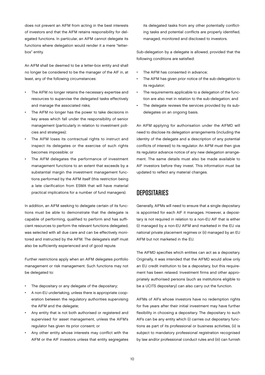does not prevent an AIFM from acting in the best interests of investors and that the AIFM retains responsibility for delegated functions. In particular, an AIFM cannot delegate its functions where delegation would render it a mere "letterbox" entity.

An AIFM shall be deemed to be a letter-box entity and shall no longer be considered to be the manager of the AIF in, at least, any of the following circumstances:

- The AIFM no longer retains the necessary expertise and resources to supervise the delegated tasks effectively and manage the associated risks;
- The AIFM no longer has the power to take decisions in key areas which fall under the responsibility of senior management (particularly in relation to investment policies and strategies);
- The AIFM loses its contractual rights to instruct and inspect its delegates or the exercise of such rights becomes impossible; or
- The AIFM delegates the performance of investment management functions to an extent that exceeds by a substantial margin the investment management functions performed by the AIFM itself (this restriction being a late clarification from ESMA that will have material practical implications for a number of fund managers).

In addition, an AIFM seeking to delegate certain of its functions must be able to demonstrate that the delegate is capable of performing, qualified to perform and has sufficient resources to perform the relevant functions delegated, was selected with all due care and can be effectively monitored and instructed by the AIFM. The delegate's staff must also be sufficiently experienced and of good repute.

Further restrictions apply when an AIFM delegates portfolio management or risk management. Such functions may not be delegated to:

- The depositary or any delegate of the depositary;
- A non-EU undertaking, unless there is appropriate cooperation between the regulatory authorities supervising the AIFM and the delegate;
- Any entity that is not both authorised or registered and supervised for asset management, unless the AIFM's regulator has given its prior consent; or
- Any other entity whose interests may conflict with the AIFM or the AIF investors unless that entity segregates

its delegated tasks from any other potentially conflicting tasks and potential conflicts are properly identified, managed, monitored and disclosed to investors.

Sub-delegation by a delegate is allowed, provided that the following conditions are satisfied:

- The AIFM has consented in advance;
- The AIFM has given prior notice of the sub-delegation to its regulator;
- The requirements applicable to a delegation of the function are also met in relation to the sub-delegation; and
- The delegate reviews the services provided by its subdelegates on an ongoing basis.

An AIFM applying for authorisation under the AIFMD will need to disclose its delegation arrangements (including the identity of the delegate and a description of any potential conflicts of interest) to its regulator. An AIFM must then give its regulator advance notice of any new delegation arrangement. The same details must also be made available to AIF investors before they invest. This information must be updated to reflect any material changes.

#### **DEPOSITARIES**

Generally, AIFMs will need to ensure that a single depositary is appointed for each AIF it manages. However, a depositary is not required in relation to a non-EU AIF that is either (i) managed by a non-EU AIFM and marketed in the EU via national private placement regimes or (ii) managed by an EU AIFM but not marketed in the EU.

The AIFMD specifies which entities can act as a depositary. Originally, it was intended that the AIFMD would allow only an EU credit institution to be a depositary, but this requirement has been relaxed. Investment firms and other appropriately authorised persons (such as institutions eligible to be a UCITS depositary) can also carry out the function.

AIFMs of AIFs whose investors have no redemption rights for five years after their initial investment may have further flexibility in choosing a depositary. The depositary to such AIFs can be any entity which (i) carries out depositary functions as part of its professional or business activities, (ii) is subject to mandatory professional registration recognised by law and/or professional conduct rules and (iii) can furnish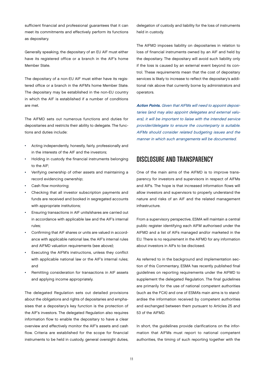sufficient financial and professional guarantees that it can meet its commitments and effectively perform its functions as depositary.

Generally speaking, the depositary of an EU AIF must either have its registered office or a branch in the AIF's home Member State.

The depositary of a non-EU AIF must either have its registered office or a branch in the AIFM's home Member State. The depositary may be established in the non-EU country in which the AIF is established if a number of conditions are met.

The AIFMD sets out numerous functions and duties for depositaries and restricts their ability to delegate. The functions and duties include:

- Acting independently, honestly, fairly, professionally and in the interests of the AIF and the investors;
- Holding in custody the financial instruments belonging to the AIF;
- Verifying ownership of other assets and maintaining a record evidencing ownership;
- Cash flow monitoring;
- Checking that all investor subscription payments and funds are received and booked in segregated accounts with appropriate institutions;
- Ensuring transactions in AIF units/shares are carried out in accordance with applicable law and the AIF's internal rules;
- Confirming that AIF shares or units are valued in accordance with applicable national law, the AIF's internal rules and AIFMD valuation requirements (see above);
- Executing the AIFM's instructions, unless they conflict with applicable national law or the AIF's internal rules; and
- Remitting consideration for transactions in AIF assets and applying income appropriately.

The delegated Regulation sets out detailed provisions about the obligations and rights of depositaries and emphasises that a depositary's key function is the protection of the AIF's investors. The delegated Regulation also requires information flow to enable the depositary to have a clear overview and effectively monitor the AIF's assets and cash flow. Criteria are established for the scope for financial instruments to be held in custody, general oversight duties,

delegation of custody and liability for the loss of instruments held in custody.

The AIFMD imposes liability on depositaries in relation to loss of financial instruments owned by an AIF and held by the depositary. The depositary will avoid such liability only if the loss is caused by an external event beyond its control. These requirements mean that the cost of depositary services is likely to increase to reflect the depositary's additional risk above that currently borne by administrators and operators.

Action Points. Given that AIFMs will need to appoint depositaries (and may also appoint delegates and external valuers), it will be important to liaise with the intended service provider/delegate to ensure the counterparty is suitable. AIFMs should consider related budgeting issues and the manner in which such arrangements will be documented.

#### DISCLOSURE AND TRANSPARENCY

One of the main aims of the AIFMD is to improve transparency for investors and supervisors in respect of AIFMs and AIFs. The hope is that increased information flows will allow investors and supervisors to properly understand the nature and risks of an AIF and the related management infrastructure.

From a supervisory perspective, ESMA will maintain a central public register identifying each AIFM authorised under the AIFMD and a list of AIFs managed and/or marketed in the EU. There is no requirement in the AIFMD for any information about investors in AIFs to be disclosed.

As referred to in the background and implementation section of this Commentary, ESMA has recently published final guidelines on reporting requirements under the AIFMD to supplement the delegated Regulation. The final guidelines are primarily for the use of national competent authorities (such as the FCA) and one of ESMA's main aims is to standardise the information received by competent authorities and exchanged between them pursuant to Articles 25 and 53 of the AIFMD.

In short, the guidelines provide clarifications on the information that AIFMs must report to national competent authorities, the timing of such reporting together with the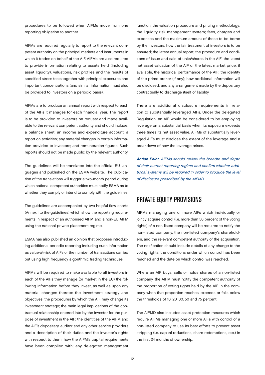procedures to be followed when AIFMs move from one reporting obligation to another.

AIFMs are required regularly to report to the relevant competent authority on the principal markets and instruments in which it trades on behalf of the AIF. AIFMs are also required to provide information relating to assets held (including asset liquidity), valuations, risk profiles and the results of specified stress tests together with principal exposures and important concentrations (and similar information must also be provided to investors on a periodic basis).

AIFMs are to produce an annual report with respect to each of the AIFs it manages for each financial year. The report is to be provided to investors on request and made available to the relevant competent authority and should include: a balance sheet; an income and expenditure account; a report on activities; any material changes in certain information provided to investors; and remuneration figures. Such reports should not be made public by the relevant authority.

The guidelines will be translated into the official EU languages and published on the ESMA website. The publication of the translations will trigger a two-month period during which national competent authorities must notify ESMA as to whether they comply or intend to comply with the guidelines.

The guidelines are accompanied by two helpful flow-charts (Annex I to the quidelines) which show the reporting requirements in respect of an authorised AIFM and a non-EU AIFM using the national private placement regime.

ESMA has also published an opinion that proposes introducing additional periodic reporting including such information as value-at-risk of AIFs or the number of transactions carried out using high frequency algorithmic trading techniques.

AIFMs will be required to make available to all investors in each of the AIFs they manage (or market in the EU) the following information before they invest, as well as upon any material changes thereto: the investment strategy and objectives; the procedures by which the AIF may change its investment strategy; the main legal implications of the contractual relationship entered into by the investor for the purpose of investment in the AIF; the identities of the AIFM and the AIF's depositary, auditor and any other service providers and a description of their duties and the investor's rights with respect to them; how the AIFM's capital requirements have been complied with; any delegated management

function; the valuation procedure and pricing methodology; the liquidity risk management system; fees, charges and expenses and the maximum amount of these to be borne by the investors; how the fair treatment of investors is to be ensured; the latest annual report; the procedure and conditions of issue and sale of units/shares in the AIF; the latest net asset valuation of the AIF or the latest market price; if available, the historical performance of the AIF; the identity of the prime broker (if any); how additional information will be disclosed; and any arrangement made by the depositary contractually to discharge itself of liability.

There are additional disclosure requirements in relation to substantially leveraged AIFs. Under the delegated Regulation, an AIF would be considered to be employing leverage on a substantial basis when its exposure exceeds three times its net asset value. AIFMs of substantially leveraged AIFs must disclose the extent of the leverage and a breakdown of how the leverage arises.

Action Point. AIFMs should review the breadth and depth of their current reporting regime and confirm whether additional systems will be required in order to produce the level of disclosure prescribed by the AIFMD.

#### PRIVATE EQUITY PROVISIONS

AIFMs managing one or more AIFs which individually or jointly acquire control (i.e. more than 50 percent of the voting rights) of a non-listed company will be required to notify the non-listed company, the non-listed company's shareholders, and the relevant competent authority of the acquisition. The notification should include details of any change to the voting rights, the conditions under which control has been reached and the date on which control was reached.

Where an AIF buys, sells or holds shares of a non-listed company, the AIFM must notify the competent authority of the proportion of voting rights held by the AIF in the company when that proportion reaches, exceeds or falls below the thresholds of 10, 20, 30, 50 and 75 percent.

The AIFMD also includes asset protection measures which require AIFMs managing one or more AIFs with control of a non-listed company to use its best efforts to prevent asset stripping (i.e. capital reductions, share redemptions, etc.) in the first 24 months of ownership.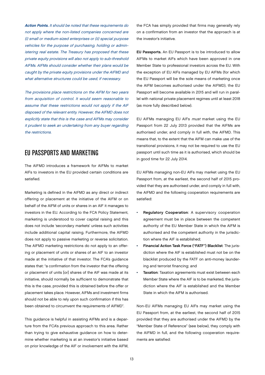Action Points. It should be noted that these requirements do not apply where the non-listed companies concerned are (i) small or medium-sized enterprises or (ii) special purpose vehicles for the purpose of purchasing, holding or administering real estate. The Treasury has proposed that these private equity provisions will also not apply to sub-threshold AIFMs. AIFMs should consider whether their plans would be caught by the private equity provisions under the AIFMD and what alternative structures could be used, if necessary.

The provisions place restrictions on the AIFM for two years from acquisition of control. It would seem reasonable to assume that these restrictions would not apply if the AIF disposed of the relevant entity. However, the AIFMD does not explicitly state that this is the case and AIFMs may consider it prudent to seek an undertaking from any buyer regarding the restrictions.

## EU PASSPORTS AND MARKETING

The AIFMD introduces a framework for AIFMs to market AIFs to investors in the EU provided certain conditions are satisfied.

Marketing is defined in the AIFMD as any direct or indirect offering or placement at the initiative of the AIFM or on behalf of the AIFM of units or shares in an AIF it manages to investors in the EU. According to the FCA Policy Statement, marketing is understood to cover capital raising and this does not include 'secondary markets' unless such activities include additional capital raising. Furthermore, the AIFMD does not apply to passive marketing or reverse solicitation. The AIFMD marketing restrictions do not apply to an offering or placement of units or shares of an AIF to an investor made at the initiative of that investor. The FCA's guidance states that: "a confirmation from the investor that the offering or placement of units [or] shares of the AIF was made at its initiative, should normally be sufficient to demonstrate that this is the case, provided this is obtained before the offer or placement takes place. However, AIFMs and investment firms should not be able to rely upon such confirmation if this has been obtained to circumvent the requirements of AIFMD".

This guidance is helpful in assisting AIFMs and is a departure from the FCA's previous approach to this area. Rather than trying to give exhaustive guidance on how to determine whether marketing is at an investor's initiative based on prior knowledge of the AIF or involvement with the AIFM, the FCA has simply provided that firms may generally rely on a confirmation from an investor that the approach is at the investor's initiative.

EU Passports. An EU Passport is to be introduced to allow AIFMs to market AIFs which have been approved in one Member State to professional investors across the EU. With the exception of EU AIFs managed by EU AIFMs (for which the EU Passport will be the sole means of marketing once the AIFM becomes authorised under the AIFMD), the EU Passport will become available in 2015 and will run in parallel with national private placement regimes until at least 2018 (as more fully described below).

EU AIFMs managing EU AIFs must market using the EU Passport from 22 July 2013 provided that the AIFMs are authorised under, and comply in full with, the AIFMD. This means that, to the extent that the AIFM can make use of the transitional provisions, it may not be required to use the EU passport until such time as it is authorised, which should be in good time for 22 July 2014.

EU AIFMs managing non-EU AIFs may market using the EU Passport from, at the earliest, the second half of 2015 provided that they are authorised under, and comply in full with, the AIFMD and the following cooperation requirements are satisfied:

- **Regulatory Cooperation:** A supervisory cooperation agreement must be in place between the competent authority of the EU Member State in which the AIFM is authorised and the competent authority in the jurisdiction where the AIF is established;
- Financial Action Task Force ("FATF") Blacklist: The jurisdiction where the AIF is established must not be on the blacklist produced by the FATF on anti-money laundering and terrorist financing; and
- Taxation: Taxation agreements must exist between each Member State where the AIF is to be marketed, the jurisdiction where the AIF is established and the Member State in which the AIFM is authorised.

Non-EU AIFMs managing EU AIFs may market using the EU Passport from, at the earliest, the second half of 2015 provided that they are authorised under the AIFMD by the "Member State of Reference" (see below), they comply with the AIFMD in full, and the following cooperation requirements are satisfied: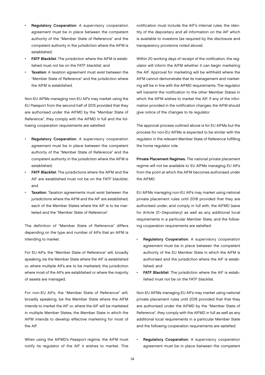- Regulatory Cooperation: A supervisory cooperation agreement must be in place between the competent authority of the "Member State of Reference" and the competent authority in the jurisdiction where the AIFM is established;
- FATF Blacklist: The jurisdiction where the AIFM is established must not be on the FATF blacklist; and
- Taxation: A taxation agreement must exist between the "Member State of Reference" and the jurisdiction where the AIFM is established.

Non-EU AIFMs managing non-EU AIFs may market using the EU Passport from the second half of 2015 provided that they are authorised under the AIFMD by the "Member State of Reference", they comply with the AIFMD in full and the following cooperation requirements are satisfied:

- Regulatory Cooperation: A supervisory cooperation agreement must be in place between the competent authority of the "Member State of Reference" and the competent authority in the jurisdiction where the AIFM is established;
- FATF Blacklist: The jurisdictions where the AIFM and the AIF are established must not be on the FATF blacklist; and
- Taxation: Taxation agreements must exist between the jurisdictions where the AIFM and the AIF are established. each of the Member States where the AIF is to be marketed and the "Member State of Reference".

The definition of "Member State of Reference" differs depending on the type and number of AIFs that an AIFM is intending to market.

For EU AIFs, the "Member State of Reference" will, broadly speaking, be the Member State where the AIF is established or, where multiple AIFs are to be marketed, the jurisdiction where most of the AIFs are established or where the majority of assets are managed.

For non-EU AIFs, the "Member State of Reference" will, broadly speaking, be the Member State where the AIFM intends to market the AIF or, where the AIF will be marketed in multiple Member States, the Member State in which the AIFM intends to develop effective marketing for most of the AIF.

When using the AIFMD's Passport regime, the AIFM must notify its regulator of the AIF it wishes to market. This

notification must include the AIF's internal rules, the identity of the depositary and all information on the AIF which is available to investors (as required by the disclosure and transparency provisions noted above).

Within 20 working days of receipt of the notification, the regulator will inform the AIFM whether it can begin marketing the AIF. Approval for marketing will be withheld where the AIFM cannot demonstrate that its management and marketing will be in line with the AIFMD requirements. The regulator will transmit the notification to the other Member States in which the AIFM wishes to market the AIF. If any of the information provided in the notification changes, the AIFM should give notice of the changes to its regulator.

The approval process outlined above is for EU AIFMs but the process for non-EU AIFMs is expected to be similar with the regulator in the relevant Member State of Reference fulfilling the home regulator role.

Private Placement Regimes. The national private placement regime will not be available to EU AIFMs managing EU AIFs from the point at which the AIFM becomes authorised under the AIFMD.

EU AIFMs managing non-EU AIFs may market using national private placement rules until 2018 provided that they are authorised under, and comply in full with, the AIFMD (save for Article 21–Depositary) as well as any additional local requirements in a particular Member State, and the following cooperation requirements are satisfied:

- Regulatory Cooperation: A supervisory cooperation agreement must be in place between the competent authority of the EU Member State in which the AIFM is authorised and the jurisdiction where the AIF is established; and
- **FATF Blacklist:** The jurisdiction where the AIF is established must not be on the FATF blacklist.

Non-EU AIFMs managing EU AIFs may market using national private placement rules until 2018 provided that that they are authorised under the AIFMD by the "Member State of Reference", they comply with the AIFMD in full as well as any additional local requirements in a particular Member State and the following cooperation requirements are satisfied:

Regulatory Cooperation: A supervisory cooperation agreement must be in place between the competent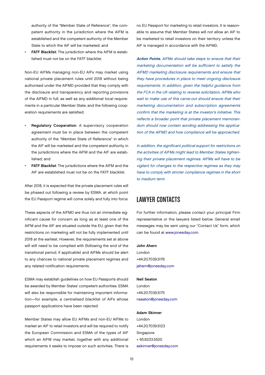authority of the "Member State of Reference", the competent authority in the jurisdiction where the AIFM is established and the competent authority of the Member State to which the AIF will be marketed; and

• FATF Blacklist: The jurisdiction where the AIFM is established must not be on the FATF blacklist.

Non-EU AIFMs managing non-EU AIFs may market using national private placement rules until 2018 without being authorised under the AIFMD provided that they comply with the disclosure and transparency and reporting provisions of the AIFMD in full, as well as any additional local requirements in a particular Member State, and the following cooperation requirements are satisfied:

- Regulatory Cooperation: A supervisory cooperation agreement must be in place between the competent authority of the "Member State of Reference" in which the AIF will be marketed and the competent authority in the jurisdictions where the AIFM and the AIF are established; and
- FATF Blacklist: The jurisdictions where the AIFM and the AIF are established must not be on the FATF blacklist.

After 2018, it is expected that the private placement rules will be phased out following a review by ESMA, at which point the EU Passport regime will come solely and fully into force.

These aspects of the AIFMD are thus not an immediate significant cause for concern as long as at least one of the AIFM and the AIF are situated outside the EU, given that the restrictions on marketing will not be fully implemented until 2018 at the earliest. However, the requirements set at above will still need to be complied with (following the end of the transitional period, if applicable) and AIFMs should be alert to any chances to national private placement regimes and any related notification requirements.

ESMA may establish guidelines on how EU Passports should be awarded by Member States' competent authorities. ESMA will also be responsible for maintaining important information—for example, a centralised blacklist of AIFs whose passport applications have been rejected.

Member States may allow EU AIFMs and non-EU AIFMs to market an AIF to retail investors and will be required to notify the European Commission and ESMA of the types of AIF which an AIFM may market, together with any additional requirements it seeks to impose on such activities. There is

no EU Passport for marketing to retail investors. It is reasonable to assume that Member States will not allow an AIF to be marketed to retail investors on their territory unless the AIF is managed in accordance with the AIFMD.

Action Points. AIFMs should take steps to ensure that their marketing documentation will be sufficient to satisfy the AIFMD marketing disclosure requirements and ensure that they have procedures in place to meet ongoing disclosure requirements. In addition, given the helpful guidance from the FCA in the UK relating to reverse solicitation, AIFMs who wait to make use of this carve-out should ensure that their marketing documentation and subscription agreements confirm that the marketing is at the investor's initiative. This reflects a broader point that private placement memorandum should now contain wording addressing the application of the AIFMD and how compliance will be approached.

In addition, the significant political support for restrictions on the activities of AIFMs might lead to Member States tightening their private placement regimes. AIFMs will have to be vigilant for changes to the respective regimes as they may have to comply with stricter compliance regimes in the short to medium term.

#### LAWYER CONTACTS

For further information, please contact your principal Firm representative or the lawyers listed below. General email messages may be sent using our "Contact Us" form, which can be found at [www.jonesday.com.](http://www.jonesday.com) 

#### John Ahern

London +44.20.7039.5176 [jahern@jonesday.com](mailto:jahern@jonesday.com)

#### Neil Seaton

London +44.20.7039.5175 [nseaton@jonesday.com](mailto:nseaton@jonesday.com)

#### Adam Skinner

London +44.20.7039.5123 Singapore + 65.6233.5520 [askinner@jonesday.com](mailto:askinner@jonesday.com)